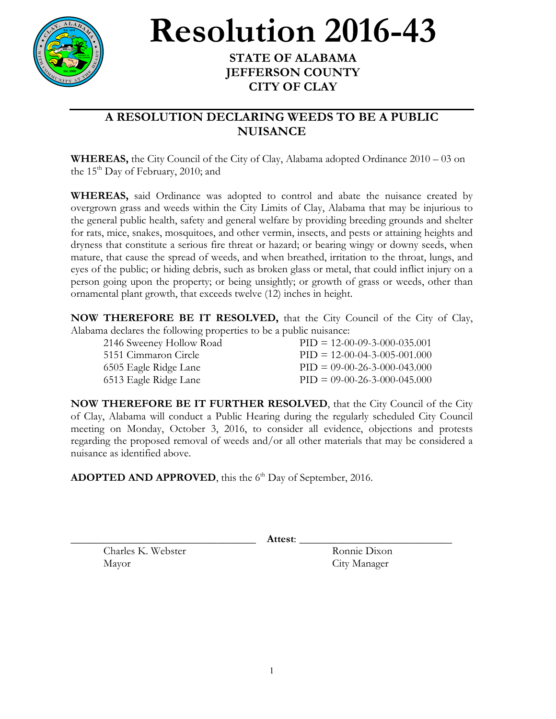

**Resolution** 2016-43

## **JEFFERSON COUNTY CITY OF CLAY**

## **A RESOLUTION DECLARING WEEDS TO BE A PUBLIC NUISANCE**

**WHEREAS,** the City Council of the City of Clay, Alabama adopted Ordinance 2010 – 03 on the  $15<sup>th</sup>$  Day of February, 2010; and

**WHEREAS,** said Ordinance was adopted to control and abate the nuisance created by overgrown grass and weeds within the City Limits of Clay, Alabama that may be injurious to the general public health, safety and general welfare by providing breeding grounds and shelter for rats, mice, snakes, mosquitoes, and other vermin, insects, and pests or attaining heights and dryness that constitute a serious fire threat or hazard; or bearing wingy or downy seeds, when mature, that cause the spread of weeds, and when breathed, irritation to the throat, lungs, and eyes of the public; or hiding debris, such as broken glass or metal, that could inflict injury on a person going upon the property; or being unsightly; or growth of grass or weeds, other than ornamental plant growth, that exceeds twelve (12) inches in height.

**NOW THEREFORE BE IT RESOLVED,** that the City Council of the City of Clay, Alabama declares the following properties to be a public nuisance:

| 2146 Sweeney Hollow Road | $PID = 12-00-09-3-000-035.001$ |
|--------------------------|--------------------------------|
| 5151 Cimmaron Circle     | $PID = 12-00-04-3-005-001.000$ |
| 6505 Eagle Ridge Lane    | $PID = 09-00-26-3-000-043.000$ |
| 6513 Eagle Ridge Lane    | $PID = 09-00-26-3-000-045.000$ |

**NOW THEREFORE BE IT FURTHER RESOLVED**, that the City Council of the City of Clay, Alabama will conduct a Public Hearing during the regularly scheduled City Council meeting on Monday, October 3, 2016, to consider all evidence, objections and protests regarding the proposed removal of weeds and/or all other materials that may be considered a nuisance as identified above.

ADOPTED AND APPROVED, this the 6<sup>th</sup> Day of September, 2016.

\_\_\_\_\_\_\_\_\_\_\_\_\_\_\_\_\_\_\_\_\_\_\_\_\_\_\_\_\_\_\_\_\_\_ **Attest**: \_\_\_\_\_\_\_\_\_\_\_\_\_\_\_\_\_\_\_\_\_\_\_\_\_\_\_\_

Charles K. Webster Ronnie Dixon Mayor City Manager